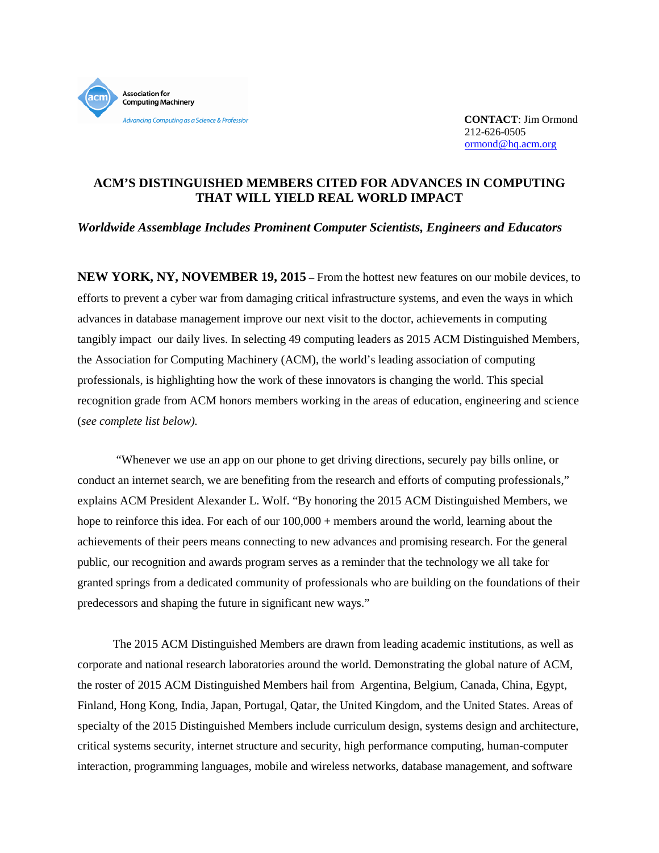

**CONTACT**: Jim Ormond 212-626-0505 [ormond@hq.acm.org](mailto:ormond@hq.acm.org)

# **ACM'S DISTINGUISHED MEMBERS CITED FOR ADVANCES IN COMPUTING THAT WILL YIELD REAL WORLD IMPACT**

*Worldwide Assemblage Includes Prominent Computer Scientists, Engineers and Educators*

**NEW YORK, NY, NOVEMBER 19, 2015** – From the hottest new features on our mobile devices, to efforts to prevent a cyber war from damaging critical infrastructure systems, and even the ways in which advances in database management improve our next visit to the doctor, achievements in computing tangibly impact our daily lives. In selecting 49 computing leaders as 2015 ACM Distinguished Members, the Association for Computing Machinery (ACM), the world's leading association of computing professionals, is highlighting how the work of these innovators is changing the world. This special recognition grade from ACM honors members working in the areas of education, engineering and science (*see complete list below).*

"Whenever we use an app on our phone to get driving directions, securely pay bills online, or conduct an internet search, we are benefiting from the research and efforts of computing professionals," explains ACM President Alexander L. Wolf. "By honoring the 2015 ACM Distinguished Members, we hope to reinforce this idea. For each of our  $100,000 +$  members around the world, learning about the achievements of their peers means connecting to new advances and promising research. For the general public, our recognition and awards program serves as a reminder that the technology we all take for granted springs from a dedicated community of professionals who are building on the foundations of their predecessors and shaping the future in significant new ways."

 The 2015 ACM Distinguished Members are drawn from leading academic institutions, as well as corporate and national research laboratories around the world. Demonstrating the global nature of ACM, the roster of 2015 ACM Distinguished Members hail from Argentina, Belgium, Canada, China, Egypt, Finland, Hong Kong, India, Japan, Portugal, Qatar, the United Kingdom, and the United States. Areas of specialty of the 2015 Distinguished Members include curriculum design, systems design and architecture, critical systems security, internet structure and security, high performance computing, human-computer interaction, programming languages, mobile and wireless networks, database management, and software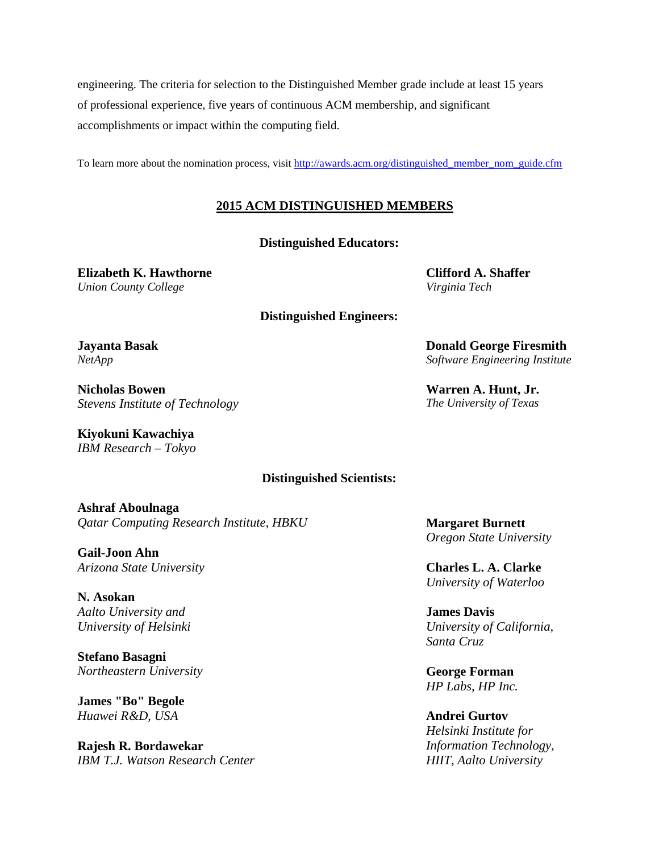engineering. The criteria for selection to the Distinguished Member grade include at least 15 years of professional experience, five years of continuous ACM membership, and significant accomplishments or impact within the computing field.

To learn more about the nomination process, visit [http://awards.acm.org/distinguished\\_member\\_nom\\_guide.cfm](http://awards.acm.org/distinguished_member_nom_guide.cfm)

# **2015 ACM DISTINGUISHED MEMBERS**

**Distinguished Educators:** 

**Elizabeth K. Hawthorne** *Union County College*

**Distinguished Engineers:**

**Jayanta Basak** *NetApp*

**Nicholas Bowen** *Stevens Institute of Technology*

**Kiyokuni Kawachiya** *IBM Research – Tokyo*

### **Distinguished Scientists:**

**Ashraf Aboulnaga** *Qatar Computing Research Institute, HBKU*

**Gail-Joon Ahn** *Arizona State University*

**N. Asokan** *Aalto University and University of Helsinki*

**Stefano Basagni** *Northeastern University*

**James "Bo" Begole** *Huawei R&D, USA* 

**Rajesh R. Bordawekar** *IBM T.J. Watson Research Center* **Clifford A. Shaffer** *Virginia Tech*

**Donald George Firesmith** *Software Engineering Institute*

**Warren A. Hunt, Jr.** *The University of Texas* 

**Margaret Burnett** *Oregon State University*

**Charles L. A. Clarke** *University of Waterloo*

**James Davis** *University of California, Santa Cruz*

**George Forman** *HP Labs, HP Inc.* 

**Andrei Gurtov** *Helsinki Institute for Information Technology, HIIT, Aalto University*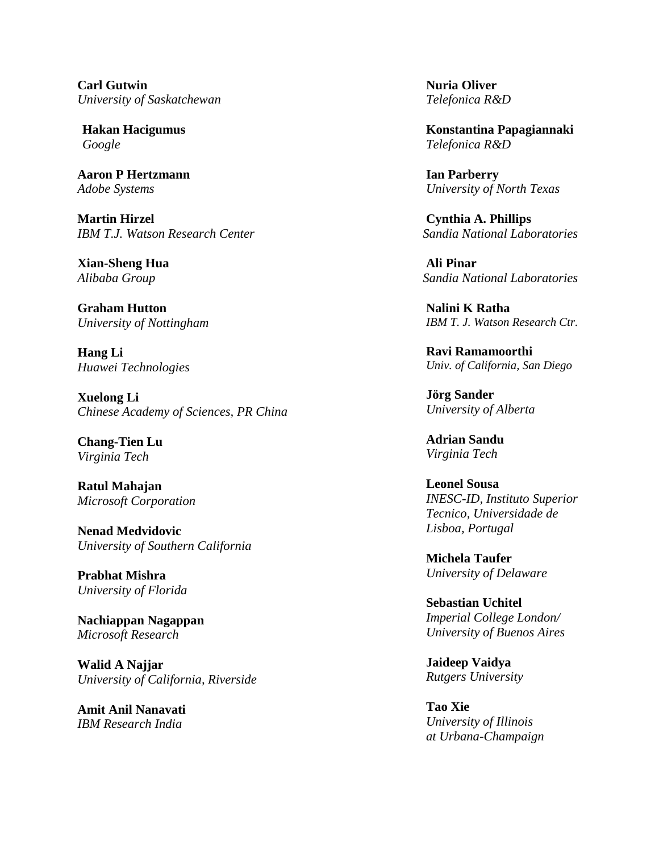**Carl Gutwin** *University of Saskatchewan*

**Hakan Hacigumus** *Google*

**Aaron P Hertzmann** *Adobe Systems*

**Martin Hirzel** *IBM T.J. Watson Research Center*

**Xian-Sheng Hua** *Alibaba Group*

**Graham Hutton** *University of Nottingham*

**Hang Li** *Huawei Technologies*

**Xuelong Li** *Chinese Academy of Sciences, PR China*

**Chang-Tien Lu** *Virginia Tech*

**Ratul Mahajan** *Microsoft Corporation*

**Nenad Medvidovic** *University of Southern California*

**Prabhat Mishra** *University of Florida*

**Nachiappan Nagappan** *Microsoft Research*

**Walid A Najjar** *University of California, Riverside*

**Amit Anil Nanavati** *IBM Research India*

**Nuria Oliver** *Telefonica R&D*

**Konstantina Papagiannaki** *Telefonica R&D*

**Ian Parberry** *University of North Texas*

**Cynthia A. Phillips**  *Sandia National Laboratories*

**Ali Pinar**  *Sandia National Laboratories*

**Nalini K Ratha** *IBM T. J. Watson Research Ctr.*

**Ravi Ramamoorthi** *Univ. of California, San Diego*

**Jörg Sander** *University of Alberta*

**Adrian Sandu** *Virginia Tech*

**Leonel Sousa** *INESC-ID, Instituto Superior Tecnico, Universidade de Lisboa, Portugal*

**Michela Taufer** *University of Delaware*

**Sebastian Uchitel** *Imperial College London/ University of Buenos Aires*

**Jaideep Vaidya** *Rutgers University*

**Tao Xie**  *University of Illinois at Urbana-Champaign*